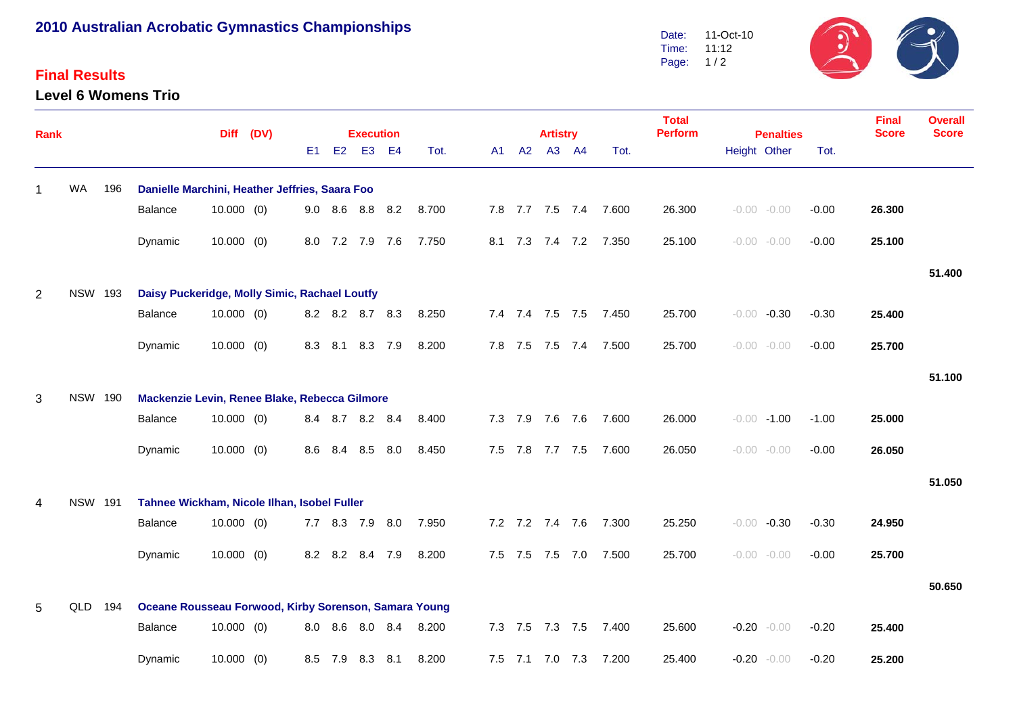## **2010 Australian Acrobatic Gymnastics Championships**

## **Final Results**

**Level 6 Womens Trio**



| Rank           |                |                |                                                       |              | Diff (DV) |     |         | <b>Execution</b> |         |       |      |             | <b>Artistry</b> |         |                       | <b>Total</b><br><b>Perform</b> | <b>Penalties</b>   |         | <b>Final</b><br><b>Score</b> | <b>Overall</b><br><b>Score</b> |
|----------------|----------------|----------------|-------------------------------------------------------|--------------|-----------|-----|---------|------------------|---------|-------|------|-------------|-----------------|---------|-----------------------|--------------------------------|--------------------|---------|------------------------------|--------------------------------|
|                |                |                |                                                       |              |           | E1  |         | E2 E3 E4         |         | Tot.  | A1 - |             | A2 A3 A4        |         | Tot.                  |                                | Height Other       | Tot.    |                              |                                |
| -1             | <b>WA</b>      | 196            | Danielle Marchini, Heather Jeffries, Saara Foo        |              |           |     |         |                  |         |       |      |             |                 |         |                       |                                |                    |         |                              |                                |
|                |                |                | Balance                                               | $10.000$ (0) |           |     |         | 9.0 8.6 8.8 8.2  |         | 8.700 |      |             |                 |         | 7.8 7.7 7.5 7.4 7.600 | 26.300                         | $-0.00 - 0.00$     | $-0.00$ | 26.300                       |                                |
|                |                |                | Dynamic                                               | $10.000$ (0) |           |     |         | 8.0 7.2 7.9 7.6  |         | 7.750 |      |             |                 |         | 8.1 7.3 7.4 7.2 7.350 | 25.100                         | $-0.00 - 0.00$     | $-0.00$ | 25.100                       |                                |
|                |                |                |                                                       |              |           |     |         |                  |         |       |      |             |                 |         |                       |                                |                    |         |                              | 51.400                         |
| 2              |                | <b>NSW 193</b> | Daisy Puckeridge, Molly Simic, Rachael Loutfy         |              |           |     |         |                  |         |       |      |             |                 |         |                       |                                |                    |         |                              |                                |
|                |                |                | Balance                                               | $10.000$ (0) |           |     |         | 8.2 8.2 8.7 8.3  |         | 8.250 |      |             |                 |         | 7.4 7.4 7.5 7.5 7.450 | 25.700                         | $-0.30$<br>$-0.00$ | $-0.30$ | 25.400                       |                                |
|                |                |                | Dynamic                                               | $10.000$ (0) |           | 8.3 | 8.1     |                  | 8.3 7.9 | 8.200 |      |             | 7.8 7.5 7.5 7.4 |         | 7.500                 | 25.700                         | $-0.00 - 0.00$     | $-0.00$ | 25.700                       |                                |
|                |                |                |                                                       |              |           |     |         |                  |         |       |      |             |                 |         |                       |                                |                    |         |                              | 51.100                         |
| 3              |                | <b>NSW 190</b> | Mackenzie Levin, Renee Blake, Rebecca Gilmore         |              |           |     |         |                  |         |       |      |             |                 |         |                       |                                |                    |         |                              |                                |
|                |                |                | Balance                                               | $10.000$ (0) |           |     |         | 8.4 8.7 8.2 8.4  |         | 8.400 |      |             | 7.3 7.9 7.6 7.6 |         | 7.600                 | 26.000                         | $-0.00 - 1.00$     | $-1.00$ | 25.000                       |                                |
|                |                |                | Dynamic                                               | $10.000$ (0) |           | 8.6 | 8.4     | 8.5              | 8.0     | 8.450 |      | $7.5$ $7.8$ |                 | 7.7 7.5 | 7.600                 | 26.050                         | $-0.00 - 0.00$     | $-0.00$ | 26.050                       |                                |
|                |                |                |                                                       |              |           |     |         |                  |         |       |      |             |                 |         |                       |                                |                    |         |                              | 51.050                         |
| $\overline{4}$ | <b>NSW 191</b> |                | Tahnee Wickham, Nicole Ilhan, Isobel Fuller           |              |           |     |         |                  |         |       |      |             |                 |         |                       |                                |                    |         |                              |                                |
|                |                |                | Balance                                               | $10.000$ (0) |           |     |         | 7.7 8.3 7.9 8.0  |         | 7.950 |      |             | 7.2 7.2 7.4 7.6 |         | 7.300                 | 25.250                         | $-0.30$<br>$-0.00$ | $-0.30$ | 24.950                       |                                |
|                |                |                | Dynamic                                               | $10.000$ (0) |           | 8.2 |         | 8.2 8.4 7.9      |         | 8.200 |      |             | 7.5 7.5 7.5 7.0 |         | 7.500                 | 25.700                         | $-0.00 - 0.00$     | $-0.00$ | 25.700                       |                                |
|                |                |                |                                                       |              |           |     |         |                  |         |       |      |             |                 |         |                       |                                |                    |         |                              | 50.650                         |
| 5              | QLD            | 194            | Oceane Rousseau Forwood, Kirby Sorenson, Samara Young |              |           |     |         |                  |         |       |      |             |                 |         |                       |                                |                    |         |                              |                                |
|                |                |                | Balance                                               | $10.000$ (0) |           |     | 8.0 8.6 | 8.0 8.4          |         | 8.200 |      | $7.3$ $7.5$ | 7.3 7.5         |         | 7.400                 | 25.600                         | $-0.20 - 0.00$     | $-0.20$ | 25.400                       |                                |
|                |                |                | Dynamic                                               | $10.000$ (0) |           | 8.5 | 7.9     | 8.3              | 8.1     | 8.200 |      |             | 7.5 7.1 7.0 7.3 |         | 7.200                 | 25.400                         | $-0.20$<br>$-0.00$ | $-0.20$ | 25.200                       |                                |